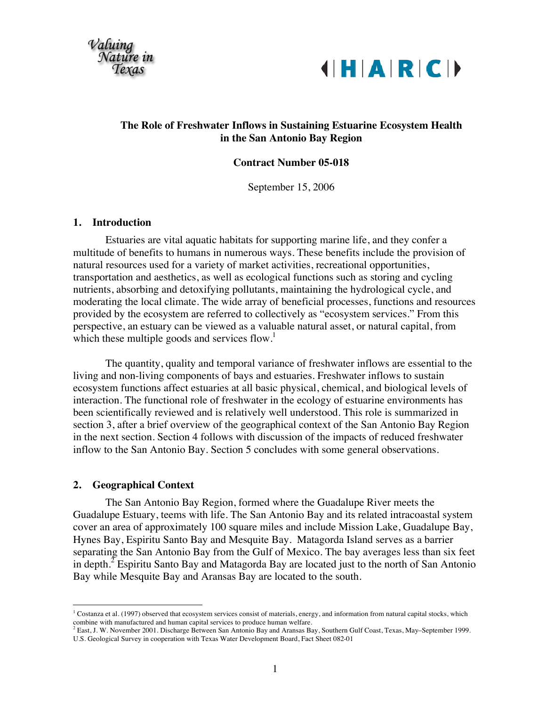



## **The Role of Freshwater Inflows in Sustaining Estuarine Ecosystem Health in the San Antonio Bay Region**

#### **Contract Number 05-018**

September 15, 2006

#### **1. Introduction**

Estuaries are vital aquatic habitats for supporting marine life, and they confer a multitude of benefits to humans in numerous ways. These benefits include the provision of natural resources used for a variety of market activities, recreational opportunities, transportation and aesthetics, as well as ecological functions such as storing and cycling nutrients, absorbing and detoxifying pollutants, maintaining the hydrological cycle, and moderating the local climate. The wide array of beneficial processes, functions and resources provided by the ecosystem are referred to collectively as "ecosystem services." From this perspective, an estuary can be viewed as a valuable natural asset, or natural capital, from which these multiple goods and services flow.<sup>1</sup>

The quantity, quality and temporal variance of freshwater inflows are essential to the living and non-living components of bays and estuaries. Freshwater inflows to sustain ecosystem functions affect estuaries at all basic physical, chemical, and biological levels of interaction. The functional role of freshwater in the ecology of estuarine environments has been scientifically reviewed and is relatively well understood. This role is summarized in section 3, after a brief overview of the geographical context of the San Antonio Bay Region in the next section. Section 4 follows with discussion of the impacts of reduced freshwater inflow to the San Antonio Bay. Section 5 concludes with some general observations.

#### **2. Geographical Context**

The San Antonio Bay Region, formed where the Guadalupe River meets the Guadalupe Estuary, teems with life. The San Antonio Bay and its related intracoastal system cover an area of approximately 100 square miles and include Mission Lake, Guadalupe Bay, Hynes Bay, Espiritu Santo Bay and Mesquite Bay. Matagorda Island serves as a barrier separating the San Antonio Bay from the Gulf of Mexico. The bay averages less than six feet in depth.<sup>2</sup> Espiritu Santo Bay and Matagorda Bay are located just to the north of San Antonio Bay while Mesquite Bay and Aransas Bay are located to the south.

 $1$  Costanza et al. (1997) observed that ecosystem services consist of materials, energy, and information from natural capital stocks, which combine with manufactured and human capital services to produce human welfare.

<sup>&</sup>lt;sup>2</sup> East, J. W. November 2001. Discharge Between San Antonio Bay and Aransas Bay, Southern Gulf Coast, Texas, May–September 1999. U.S. Geological Survey in cooperation with Texas Water Development Board, Fact Sheet 082-01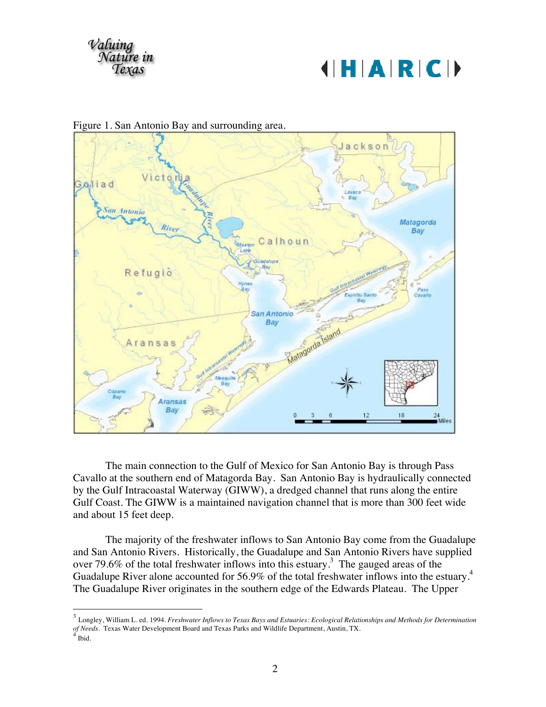





Figure 1. San Antonio Bay and surrounding area.

The main connection to the Gulf of Mexico for San Antonio Bay is through Pass Cavallo at the southern end of Matagorda Bay. San Antonio Bay is hydraulically connected by the Gulf Intracoastal Waterway (GIWW), a dredged channel that runs along the entire Gulf Coast. The GIWW is a maintained navigation channel that is more than 300 feet wide and about 15 feet deep.

The majority of the freshwater inflows to San Antonio Bay come from the Guadalupe and San Antonio Rivers. Historically, the Guadalupe and San Antonio Rivers have supplied over 79.6% of the total freshwater inflows into this estuary.<sup>3</sup> The gauged areas of the Guadalupe River alone accounted for 56.9% of the total freshwater inflows into the estuary.<sup>4</sup> The Guadalupe River originates in the southern edge of the Edwards Plateau. The Upper

 <sup>3</sup> Longley, William L. ed. 1994. *Freshwater Inflows to Texas Bays and Estuaries: Ecological Relationships and Methods for Determination of Needs.* Texas Water Development Board and Texas Parks and Wildlife Department, Austin, TX.  $^{4}$  Ibid.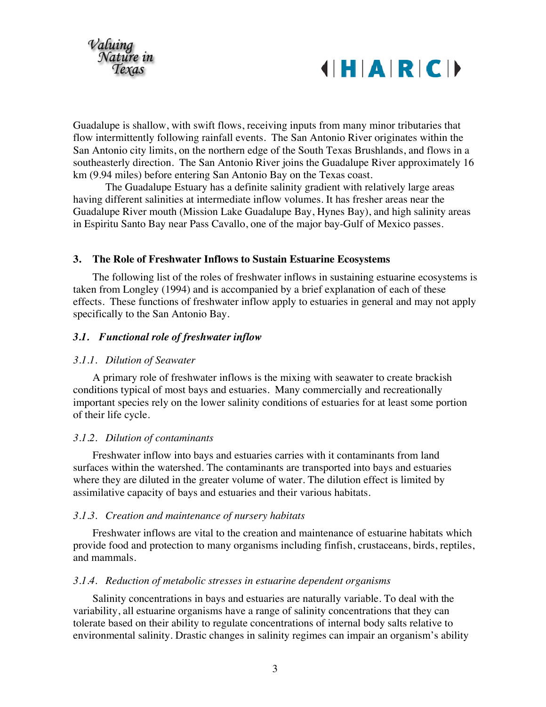



Guadalupe is shallow, with swift flows, receiving inputs from many minor tributaries that flow intermittently following rainfall events. The San Antonio River originates within the San Antonio city limits, on the northern edge of the South Texas Brushlands, and flows in a southeasterly direction. The San Antonio River joins the Guadalupe River approximately 16 km (9.94 miles) before entering San Antonio Bay on the Texas coast.

The Guadalupe Estuary has a definite salinity gradient with relatively large areas having different salinities at intermediate inflow volumes. It has fresher areas near the Guadalupe River mouth (Mission Lake Guadalupe Bay, Hynes Bay), and high salinity areas in Espiritu Santo Bay near Pass Cavallo, one of the major bay-Gulf of Mexico passes.

#### **3. The Role of Freshwater Inflows to Sustain Estuarine Ecosystems**

The following list of the roles of freshwater inflows in sustaining estuarine ecosystems is taken from Longley (1994) and is accompanied by a brief explanation of each of these effects. These functions of freshwater inflow apply to estuaries in general and may not apply specifically to the San Antonio Bay.

#### *3.1. Functional role of freshwater inflow*

#### *3.1.1. Dilution of Seawater*

A primary role of freshwater inflows is the mixing with seawater to create brackish conditions typical of most bays and estuaries. Many commercially and recreationally important species rely on the lower salinity conditions of estuaries for at least some portion of their life cycle.

#### *3.1.2. Dilution of contaminants*

Freshwater inflow into bays and estuaries carries with it contaminants from land surfaces within the watershed. The contaminants are transported into bays and estuaries where they are diluted in the greater volume of water. The dilution effect is limited by assimilative capacity of bays and estuaries and their various habitats.

#### *3.1.3. Creation and maintenance of nursery habitats*

Freshwater inflows are vital to the creation and maintenance of estuarine habitats which provide food and protection to many organisms including finfish, crustaceans, birds, reptiles, and mammals.

#### *3.1.4. Reduction of metabolic stresses in estuarine dependent organisms*

Salinity concentrations in bays and estuaries are naturally variable. To deal with the variability, all estuarine organisms have a range of salinity concentrations that they can tolerate based on their ability to regulate concentrations of internal body salts relative to environmental salinity. Drastic changes in salinity regimes can impair an organism's ability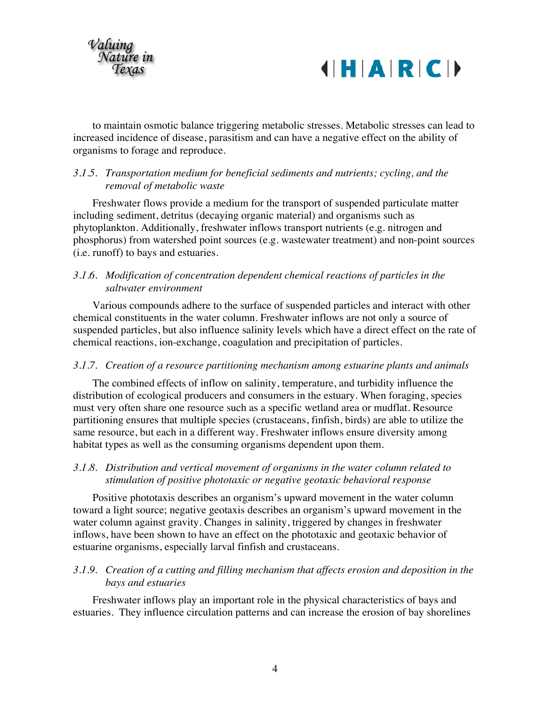

# $||H|A|R|C||$

to maintain osmotic balance triggering metabolic stresses. Metabolic stresses can lead to increased incidence of disease, parasitism and can have a negative effect on the ability of organisms to forage and reproduce.

## *3.1.5. Transportation medium for beneficial sediments and nutrients; cycling, and the removal of metabolic waste*

Freshwater flows provide a medium for the transport of suspended particulate matter including sediment, detritus (decaying organic material) and organisms such as phytoplankton. Additionally, freshwater inflows transport nutrients (e.g. nitrogen and phosphorus) from watershed point sources (e.g. wastewater treatment) and non-point sources (i.e. runoff) to bays and estuaries.

## *3.1.6. Modification of concentration dependent chemical reactions of particles in the saltwater environment*

Various compounds adhere to the surface of suspended particles and interact with other chemical constituents in the water column. Freshwater inflows are not only a source of suspended particles, but also influence salinity levels which have a direct effect on the rate of chemical reactions, ion-exchange, coagulation and precipitation of particles.

## *3.1.7. Creation of a resource partitioning mechanism among estuarine plants and animals*

The combined effects of inflow on salinity, temperature, and turbidity influence the distribution of ecological producers and consumers in the estuary. When foraging, species must very often share one resource such as a specific wetland area or mudflat. Resource partitioning ensures that multiple species (crustaceans, finfish, birds) are able to utilize the same resource, but each in a different way. Freshwater inflows ensure diversity among habitat types as well as the consuming organisms dependent upon them.

## *3.1.8. Distribution and vertical movement of organisms in the water column related to stimulation of positive phototaxic or negative geotaxic behavioral response*

Positive phototaxis describes an organism's upward movement in the water column toward a light source; negative geotaxis describes an organism's upward movement in the water column against gravity. Changes in salinity, triggered by changes in freshwater inflows, have been shown to have an effect on the phototaxic and geotaxic behavior of estuarine organisms, especially larval finfish and crustaceans.

## *3.1.9. Creation of a cutting and filling mechanism that affects erosion and deposition in the bays and estuaries*

Freshwater inflows play an important role in the physical characteristics of bays and estuaries. They influence circulation patterns and can increase the erosion of bay shorelines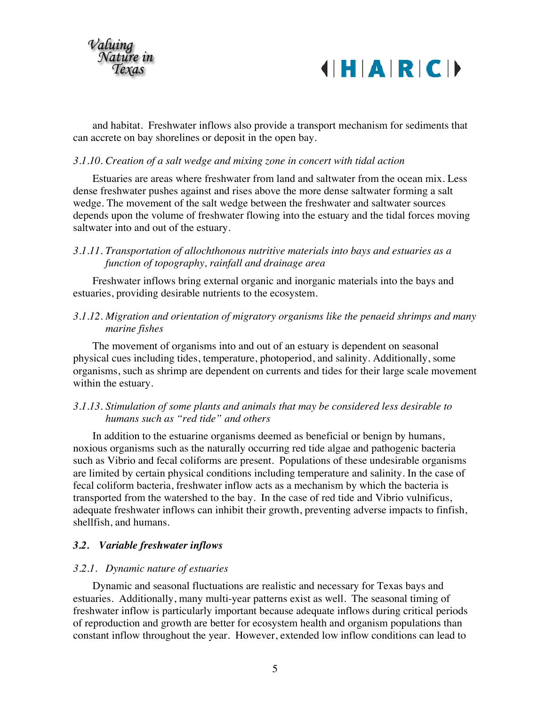



and habitat. Freshwater inflows also provide a transport mechanism for sediments that can accrete on bay shorelines or deposit in the open bay.

#### *3.1.10. Creation of a salt wedge and mixing zone in concert with tidal action*

Estuaries are areas where freshwater from land and saltwater from the ocean mix. Less dense freshwater pushes against and rises above the more dense saltwater forming a salt wedge. The movement of the salt wedge between the freshwater and saltwater sources depends upon the volume of freshwater flowing into the estuary and the tidal forces moving saltwater into and out of the estuary.

## *3.1.11. Transportation of allochthonous nutritive materials into bays and estuaries as a function of topography, rainfall and drainage area*

Freshwater inflows bring external organic and inorganic materials into the bays and estuaries, providing desirable nutrients to the ecosystem.

## *3.1.12. Migration and orientation of migratory organisms like the penaeid shrimps and many marine fishes*

The movement of organisms into and out of an estuary is dependent on seasonal physical cues including tides, temperature, photoperiod, and salinity. Additionally, some organisms, such as shrimp are dependent on currents and tides for their large scale movement within the estuary.

## *3.1.13. Stimulation of some plants and animals that may be considered less desirable to humans such as "red tide" and others*

In addition to the estuarine organisms deemed as beneficial or benign by humans, noxious organisms such as the naturally occurring red tide algae and pathogenic bacteria such as Vibrio and fecal coliforms are present. Populations of these undesirable organisms are limited by certain physical conditions including temperature and salinity. In the case of fecal coliform bacteria, freshwater inflow acts as a mechanism by which the bacteria is transported from the watershed to the bay. In the case of red tide and Vibrio vulnificus, adequate freshwater inflows can inhibit their growth, preventing adverse impacts to finfish, shellfish, and humans.

## *3.2. Variable freshwater inflows*

#### *3.2.1. Dynamic nature of estuaries*

Dynamic and seasonal fluctuations are realistic and necessary for Texas bays and estuaries. Additionally, many multi-year patterns exist as well. The seasonal timing of freshwater inflow is particularly important because adequate inflows during critical periods of reproduction and growth are better for ecosystem health and organism populations than constant inflow throughout the year. However, extended low inflow conditions can lead to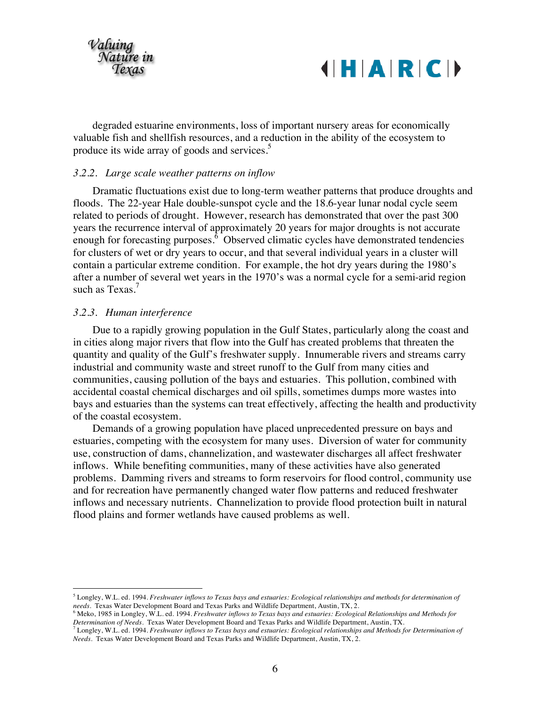

degraded estuarine environments, loss of important nursery areas for economically valuable fish and shellfish resources, and a reduction in the ability of the ecosystem to produce its wide array of goods and services.<sup>5</sup>

#### *3.2.2. Large scale weather patterns on inflow*

Dramatic fluctuations exist due to long-term weather patterns that produce droughts and floods. The 22-year Hale double-sunspot cycle and the 18.6-year lunar nodal cycle seem related to periods of drought. However, research has demonstrated that over the past 300 years the recurrence interval of approximately 20 years for major droughts is not accurate enough for forecasting purposes. $\delta$  Observed climatic cycles have demonstrated tendencies for clusters of wet or dry years to occur, and that several individual years in a cluster will contain a particular extreme condition. For example, the hot dry years during the 1980's after a number of several wet years in the 1970's was a normal cycle for a semi-arid region such as Texas.<sup>7</sup>

#### *3.2.3. Human interference*

Due to a rapidly growing population in the Gulf States, particularly along the coast and in cities along major rivers that flow into the Gulf has created problems that threaten the quantity and quality of the Gulf's freshwater supply. Innumerable rivers and streams carry industrial and community waste and street runoff to the Gulf from many cities and communities, causing pollution of the bays and estuaries. This pollution, combined with accidental coastal chemical discharges and oil spills, sometimes dumps more wastes into bays and estuaries than the systems can treat effectively, affecting the health and productivity of the coastal ecosystem.

Demands of a growing population have placed unprecedented pressure on bays and estuaries, competing with the ecosystem for many uses. Diversion of water for community use, construction of dams, channelization, and wastewater discharges all affect freshwater inflows. While benefiting communities, many of these activities have also generated problems. Damming rivers and streams to form reservoirs for flood control, community use and for recreation have permanently changed water flow patterns and reduced freshwater inflows and necessary nutrients. Channelization to provide flood protection built in natural flood plains and former wetlands have caused problems as well.

 <sup>5</sup> Longley, W.L. ed. 1994. *Freshwater inflows to Texas bays and estuaries: Ecological relationships and methods for determination of* 

<sup>&</sup>lt;sup>6</sup> Meko, 1985 in Longley, W.L. ed. 1994. Freshwater inflows to Texas bays and estuaries: Ecological Relationships and Methods for<br>Determination of Needs. Texas Water Development Board and Texas Parks and Wildlife Departme

 $^7$  Longley, W.L. ed. 1994. Freshwater inflows to Texas bays and estuaries: Ecological relationships and Methods for Determination of *Needs*. Texas Water Development Board and Texas Parks and Wildlife Department, Austin, TX, 2.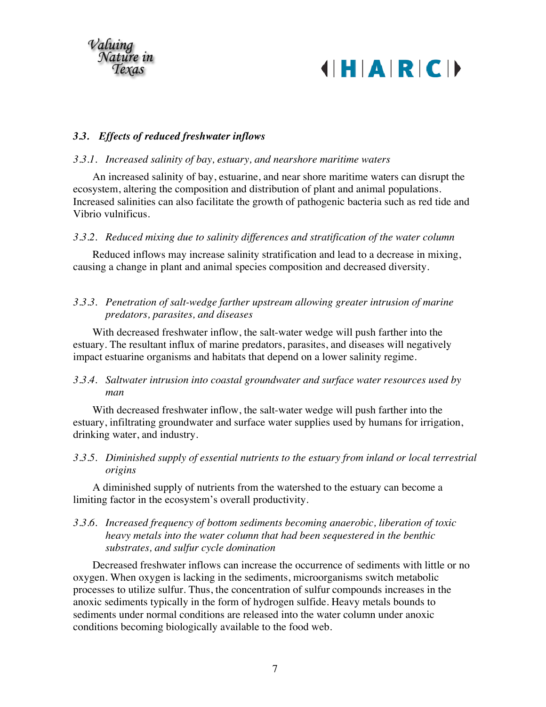



## *3.3. Effects of reduced freshwater inflows*

## *3.3.1. Increased salinity of bay, estuary, and nearshore maritime waters*

An increased salinity of bay, estuarine, and near shore maritime waters can disrupt the ecosystem, altering the composition and distribution of plant and animal populations. Increased salinities can also facilitate the growth of pathogenic bacteria such as red tide and Vibrio vulnificus.

#### *3.3.2. Reduced mixing due to salinity differences and stratification of the water column*

Reduced inflows may increase salinity stratification and lead to a decrease in mixing, causing a change in plant and animal species composition and decreased diversity.

## *3.3.3. Penetration of salt-wedge farther upstream allowing greater intrusion of marine predators, parasites, and diseases*

With decreased freshwater inflow, the salt-water wedge will push farther into the estuary. The resultant influx of marine predators, parasites, and diseases will negatively impact estuarine organisms and habitats that depend on a lower salinity regime.

## *3.3.4. Saltwater intrusion into coastal groundwater and surface water resources used by man*

With decreased freshwater inflow, the salt-water wedge will push farther into the estuary, infiltrating groundwater and surface water supplies used by humans for irrigation, drinking water, and industry.

*3.3.5. Diminished supply of essential nutrients to the estuary from inland or local terrestrial origins*

A diminished supply of nutrients from the watershed to the estuary can become a limiting factor in the ecosystem's overall productivity.

## *3.3.6. Increased frequency of bottom sediments becoming anaerobic, liberation of toxic heavy metals into the water column that had been sequestered in the benthic substrates, and sulfur cycle domination*

Decreased freshwater inflows can increase the occurrence of sediments with little or no oxygen. When oxygen is lacking in the sediments, microorganisms switch metabolic processes to utilize sulfur. Thus, the concentration of sulfur compounds increases in the anoxic sediments typically in the form of hydrogen sulfide. Heavy metals bounds to sediments under normal conditions are released into the water column under anoxic conditions becoming biologically available to the food web.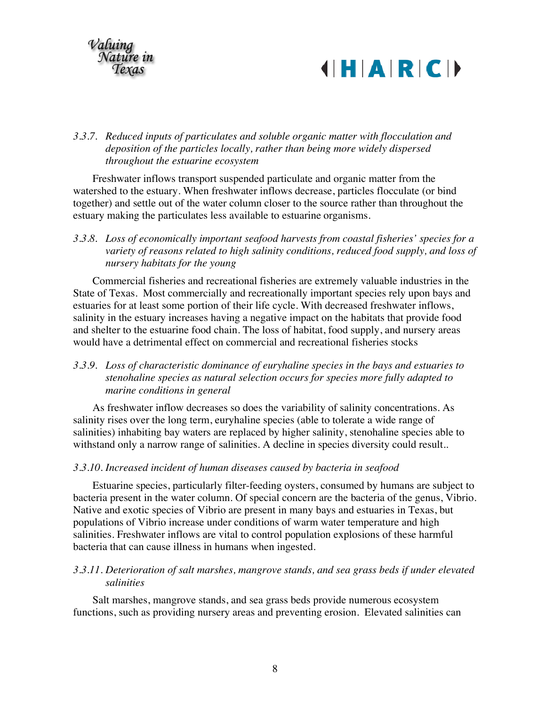



## *3.3.7. Reduced inputs of particulates and soluble organic matter with flocculation and deposition of the particles locally, rather than being more widely dispersed throughout the estuarine ecosystem*

Freshwater inflows transport suspended particulate and organic matter from the watershed to the estuary. When freshwater inflows decrease, particles flocculate (or bind together) and settle out of the water column closer to the source rather than throughout the estuary making the particulates less available to estuarine organisms.

*3.3.8. Loss of economically important seafood harvests from coastal fisheries' species for a variety of reasons related to high salinity conditions, reduced food supply, and loss of nursery habitats for the young*

Commercial fisheries and recreational fisheries are extremely valuable industries in the State of Texas. Most commercially and recreationally important species rely upon bays and estuaries for at least some portion of their life cycle. With decreased freshwater inflows, salinity in the estuary increases having a negative impact on the habitats that provide food and shelter to the estuarine food chain. The loss of habitat, food supply, and nursery areas would have a detrimental effect on commercial and recreational fisheries stocks

## *3.3.9. Loss of characteristic dominance of euryhaline species in the bays and estuaries to stenohaline species as natural selection occurs for species more fully adapted to marine conditions in general*

As freshwater inflow decreases so does the variability of salinity concentrations. As salinity rises over the long term, euryhaline species (able to tolerate a wide range of salinities) inhabiting bay waters are replaced by higher salinity, stenohaline species able to withstand only a narrow range of salinities. A decline in species diversity could result..

## *3.3.10. Increased incident of human diseases caused by bacteria in seafood*

Estuarine species, particularly filter-feeding oysters, consumed by humans are subject to bacteria present in the water column. Of special concern are the bacteria of the genus, Vibrio. Native and exotic species of Vibrio are present in many bays and estuaries in Texas, but populations of Vibrio increase under conditions of warm water temperature and high salinities. Freshwater inflows are vital to control population explosions of these harmful bacteria that can cause illness in humans when ingested.

## *3.3.11. Deterioration of salt marshes, mangrove stands, and sea grass beds if under elevated salinities*

Salt marshes, mangrove stands, and sea grass beds provide numerous ecosystem functions, such as providing nursery areas and preventing erosion. Elevated salinities can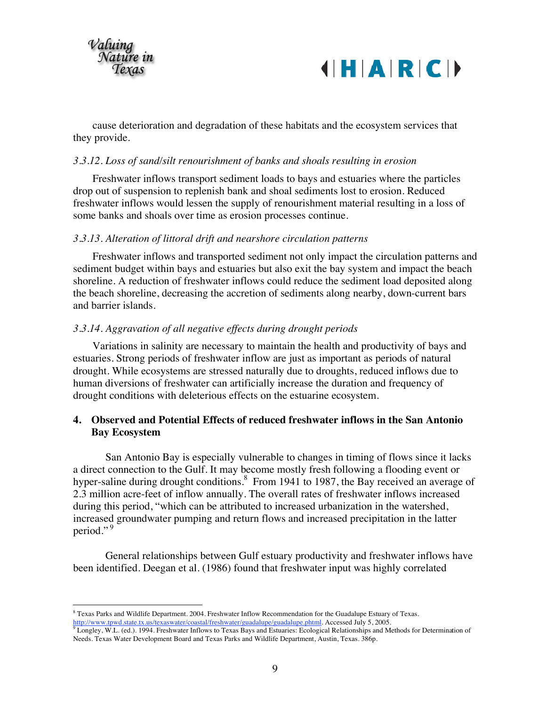



cause deterioration and degradation of these habitats and the ecosystem services that they provide.

#### *3.3.12. Loss of sand/silt renourishment of banks and shoals resulting in erosion*

Freshwater inflows transport sediment loads to bays and estuaries where the particles drop out of suspension to replenish bank and shoal sediments lost to erosion. Reduced freshwater inflows would lessen the supply of renourishment material resulting in a loss of some banks and shoals over time as erosion processes continue.

#### *3.3.13. Alteration of littoral drift and nearshore circulation patterns*

Freshwater inflows and transported sediment not only impact the circulation patterns and sediment budget within bays and estuaries but also exit the bay system and impact the beach shoreline. A reduction of freshwater inflows could reduce the sediment load deposited along the beach shoreline, decreasing the accretion of sediments along nearby, down-current bars and barrier islands.

#### *3.3.14. Aggravation of all negative effects during drought periods*

Variations in salinity are necessary to maintain the health and productivity of bays and estuaries. Strong periods of freshwater inflow are just as important as periods of natural drought. While ecosystems are stressed naturally due to droughts, reduced inflows due to human diversions of freshwater can artificially increase the duration and frequency of drought conditions with deleterious effects on the estuarine ecosystem.

#### **4. Observed and Potential Effects of reduced freshwater inflows in the San Antonio Bay Ecosystem**

San Antonio Bay is especially vulnerable to changes in timing of flows since it lacks a direct connection to the Gulf. It may become mostly fresh following a flooding event or hyper-saline during drought conditions.<sup>8</sup> From 1941 to 1987, the Bay received an average of 2.3 million acre-feet of inflow annually. The overall rates of freshwater inflows increased during this period, "which can be attributed to increased urbanization in the watershed, increased groundwater pumping and return flows and increased precipitation in the latter period."<sup>9</sup>

General relationships between Gulf estuary productivity and freshwater inflows have been identified. Deegan et al. (1986) found that freshwater input was highly correlated

 $8$  Texas Parks and Wildlife Department. 2004. Freshwater Inflow Recommendation for the Guadalupe Estuary of Texas.<br>http://www.tpwd.state.tx.us/texaswater/coastal/freshwater/guadalupe/guadalupe.phtml. Accessed July 5, 200

 $\sqrt[9]{\text{Longley}}$ , W.L. (ed.). 1994. Freshwater Inflows to Texas Bays and Estuaries: Ecological Relationships and Methods for Determination of Needs. Texas Water Development Board and Texas Parks and Wildlife Department, Austin, Texas. 386p.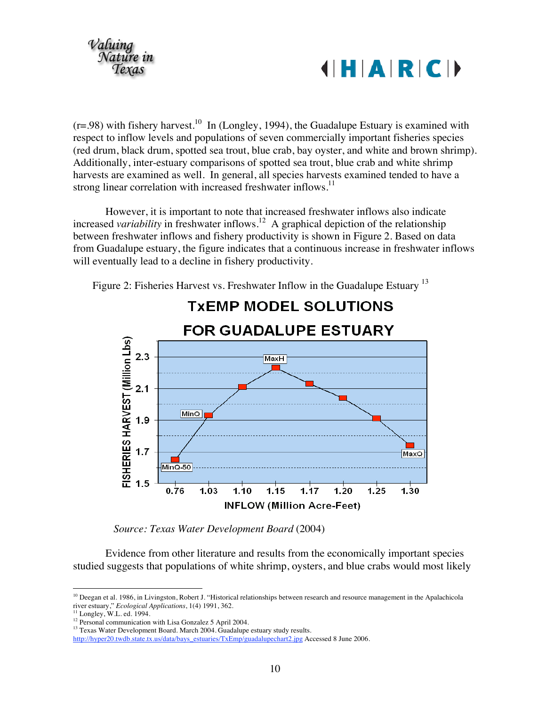



 $(r=.98)$  with fishery harvest.<sup>10</sup> In (Longley, 1994), the Guadalupe Estuary is examined with respect to inflow levels and populations of seven commercially important fisheries species (red drum, black drum, spotted sea trout, blue crab, bay oyster, and white and brown shrimp). Additionally, inter-estuary comparisons of spotted sea trout, blue crab and white shrimp harvests are examined as well. In general, all species harvests examined tended to have a strong linear correlation with increased freshwater inflows.<sup>11</sup>

However, it is important to note that increased freshwater inflows also indicate increased *variability* in freshwater inflows.<sup>12</sup> A graphical depiction of the relationship between freshwater inflows and fishery productivity is shown in Figure 2. Based on data from Guadalupe estuary, the figure indicates that a continuous increase in freshwater inflows will eventually lead to a decline in fishery productivity.

Figure 2: Fisheries Harvest vs. Freshwater Inflow in the Guadalupe Estuary<sup>13</sup>



*Source: Texas Water Development Board* (2004)

Evidence from other literature and results from the economically important species studied suggests that populations of white shrimp, oysters, and blue crabs would most likely

<sup>&</sup>lt;sup>10</sup> Deegan et al. 1986, in Livingston, Robert J. "Historical relationships between research and resource management in the Apalachicola river estuary," *Ecological Applications*, 1(4) 1991, 362.

<sup>&</sup>lt;sup>11</sup> Longley, W.L. ed. 1994.<br><sup>12</sup> Personal communication with Lisa Gonzalez 5 April 2004.<br><sup>13</sup> Texas Water Development Board. March 2004. Guadalupe estuary study results.

[http://hyper20.twdb.state.tx.us/data/bays\\_estuaries/TxEmp/guadalupechart2.jpg](http://hyper20.twdb.state.tx.us/data/bays_estuaries/TxEmp/guadalupechart2.jpg) Accessed 8 June 2006.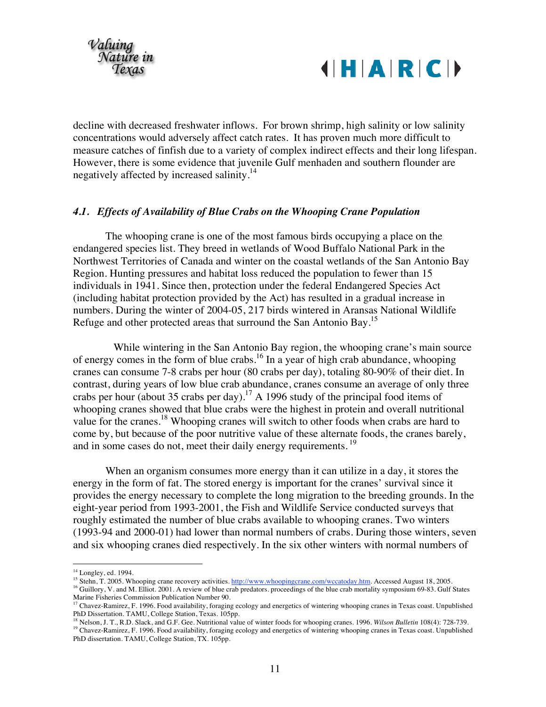



decline with decreased freshwater inflows. For brown shrimp, high salinity or low salinity concentrations would adversely affect catch rates. It has proven much more difficult to measure catches of finfish due to a variety of complex indirect effects and their long lifespan. However, there is some evidence that juvenile Gulf menhaden and southern flounder are negatively affected by increased salinity.<sup>14</sup>

#### *4.1. Effects of Availability of Blue Crabs on the Whooping Crane Population*

The whooping crane is one of the most famous birds occupying a place on the endangered species list. They breed in wetlands of Wood Buffalo National Park in the Northwest Territories of Canada and winter on the coastal wetlands of the San Antonio Bay Region. Hunting pressures and habitat loss reduced the population to fewer than 15 individuals in 1941. Since then, protection under the federal Endangered Species Act (including habitat protection provided by the Act) has resulted in a gradual increase in numbers. During the winter of 2004-05, 217 birds wintered in Aransas National Wildlife Refuge and other protected areas that surround the San Antonio Bay.<sup>15</sup>

While wintering in the San Antonio Bay region, the whooping crane's main source of energy comes in the form of blue crabs.<sup>16</sup> In a year of high crab abundance, whooping cranes can consume 7-8 crabs per hour (80 crabs per day), totaling 80-90% of their diet. In contrast, during years of low blue crab abundance, cranes consume an average of only three crabs per hour (about 35 crabs per day).<sup>17</sup> A 1996 study of the principal food items of whooping cranes showed that blue crabs were the highest in protein and overall nutritional value for the cranes.<sup>18</sup> Whooping cranes will switch to other foods when crabs are hard to come by, but because of the poor nutritive value of these alternate foods, the cranes barely, and in some cases do not, meet their daily energy requirements.<sup>19</sup>

When an organism consumes more energy than it can utilize in a day, it stores the energy in the form of fat. The stored energy is important for the cranes' survival since it provides the energy necessary to complete the long migration to the breeding grounds. In the eight-year period from 1993-2001, the Fish and Wildlife Service conducted surveys that roughly estimated the number of blue crabs available to whooping cranes. Two winters (1993-94 and 2000-01) had lower than normal numbers of crabs. During those winters, seven and six whooping cranes died respectively. In the six other winters with normal numbers of

<sup>&</sup>lt;sup>14</sup> Longley, ed. 1994.<br><sup>15</sup> Stehn, T. 2005. Whooping crane recovery activities. <http://www.whoopingcrane.com/wccatoday.htm>. Accessed August 18, 2005.<br><sup>16</sup> Guillory, V. and M. Elliot. 2001. A review of blue crab predators.

<sup>&</sup>lt;sup>17</sup> Chavez-Ramirez, F. 1996. Food availability, foraging ecology and energetics of wintering whooping cranes in Texas coast. Unpublished PhD Dissertation. TAMU, College Station, Texas. 105pp.<br><sup>18</sup> Nelson, J. T., R.D. Slack, and G.F. Gee. Nutritional value of winter foods for whooping cranes. 1996. Wilson Bulletin 108(4): 728-739.

<sup>&</sup>lt;sup>19</sup> Chavez-Ramirez, F. 1996. Food availability, foraging ecology and energetics of wintering whooping cranes in Texas coast. Unpublished PhD dissertation. TAMU, College Station, TX. 105pp.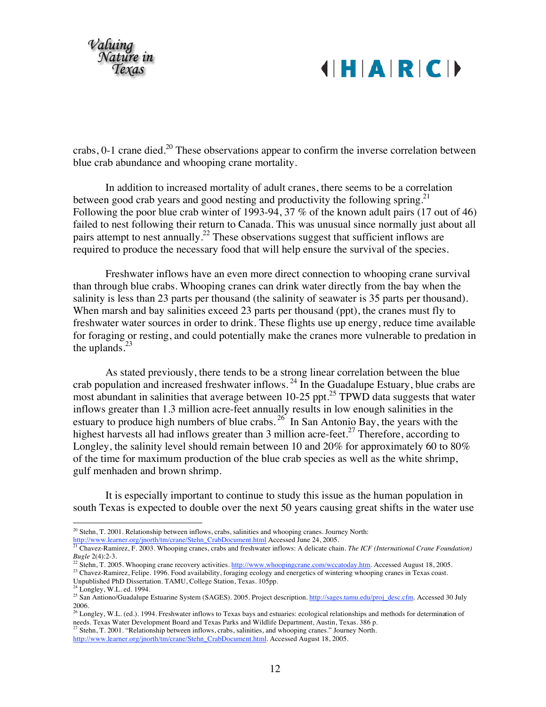

crabs,  $0-1$  crane died.<sup>20</sup> These observations appear to confirm the inverse correlation between blue crab abundance and whooping crane mortality.

In addition to increased mortality of adult cranes, there seems to be a correlation between good crab years and good nesting and productivity the following spring.<sup>21</sup> Following the poor blue crab winter of 1993-94, 37 % of the known adult pairs (17 out of 46) failed to nest following their return to Canada. This was unusual since normally just about all pairs attempt to nest annually.<sup>22</sup> These observations suggest that sufficient inflows are required to produce the necessary food that will help ensure the survival of the species.

Freshwater inflows have an even more direct connection to whooping crane survival than through blue crabs. Whooping cranes can drink water directly from the bay when the salinity is less than 23 parts per thousand (the salinity of seawater is 35 parts per thousand). When marsh and bay salinities exceed 23 parts per thousand (ppt), the cranes must fly to freshwater water sources in order to drink. These flights use up energy, reduce time available for foraging or resting, and could potentially make the cranes more vulnerable to predation in the uplands. $^{23}$ 

As stated previously, there tends to be a strong linear correlation between the blue crab population and increased freshwater inflows.<sup>24</sup> In the Guadalupe Estuary, blue crabs are most abundant in salinities that average between  $10-25$  ppt.<sup>25</sup> TPWD data suggests that water inflows greater than 1.3 million acre-feet annually results in low enough salinities in the estuary to produce high numbers of blue crabs.  $^{26}$  In San Antonio Bay, the years with the highest harvests all had inflows greater than 3 million acre-feet.<sup>27</sup> Therefore, according to Longley, the salinity level should remain between 10 and 20% for approximately 60 to 80% of the time for maximum production of the blue crab species as well as the white shrimp, gulf menhaden and brown shrimp.

It is especially important to continue to study this issue as the human population in south Texas is expected to double over the next 50 years causing great shifts in the water use

<sup>22</sup> Stehn, T. 2005. Whooping crane recovery activities. <http://www.whoopingcrane.com/wccatoday.htm>. Accessed August 18, 2005.<br><sup>23</sup> Chavez-Ramirez, Felipe. 1996. Food availability, foraging ecology and energetics of winter

<sup>&</sup>lt;sup>20</sup> Stehn, T. 2001. Relationship between inflows, crabs, salinities and whooping cranes. Journey North: http://www.learner.org/inorth/tm/crane/Stehn CrabDocument.html Accessed June 24, 2005.

<sup>&</sup>lt;sup>21</sup> Chavez-Ramirez, F. 2003. Whooping cranes, crabs and freshwater inflows: A delicate chain. The ICF (International Crane Foundation) Bugle 2(4):2-3.

<sup>&</sup>lt;sup>24</sup> Longley, W.L. ed. 1994.<br><sup>25</sup> San Antiono/Guadalupe Estuarine System (SAGES). 2005. Project descriptio[n. http://sages.tamu.edu/proj\\_desc.cfm](http://sages.tamu.edu/proj_desc.cfm). Accessed 30 July 2006.

<sup>&</sup>lt;sup>26</sup> Longley, W.L. (ed.). 1994. Freshwater inflows to Texas bays and estuaries: ecological relationships and methods for determination of needs. Texas Water Development Board and Texas Parks and Wildlife Department, Austin, Texas. 386 p.

<sup>&</sup>lt;sup>27</sup> Stehn, T. 2001. "Relationship between inflows, crabs, salinities, and whooping cranes." Journey North.

[http://www.learner.org/jnorth/tm/crane/Stehn\\_CrabDocument.html](http://www.learner.org/jnorth/tm/crane/Stehn_CrabDocument.html). Accessed August 18, 2005.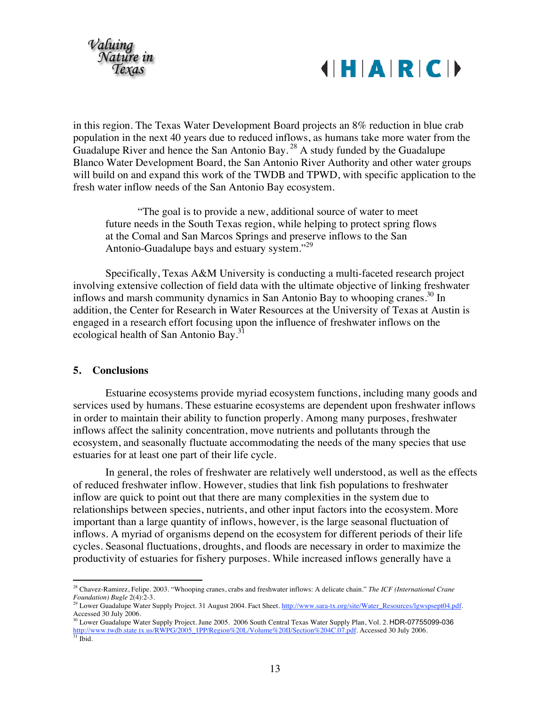

in this region. The Texas Water Development Board projects an 8% reduction in blue crab population in the next 40 years due to reduced inflows, as humans take more water from the Guadalupe River and hence the San Antonio Bay.<sup>28</sup> A study funded by the Guadalupe Blanco Water Development Board, the San Antonio River Authority and other water groups will build on and expand this work of the TWDB and TPWD, with specific application to the fresh water inflow needs of the San Antonio Bay ecosystem.

"The goal is to provide a new, additional source of water to meet future needs in the South Texas region, while helping to protect spring flows at the Comal and San Marcos Springs and preserve inflows to the San Antonio-Guadalupe bays and estuary system."<sup>29</sup>

Specifically, Texas A&M University is conducting a multi-faceted research project involving extensive collection of field data with the ultimate objective of linking freshwater inflows and marsh community dynamics in San Antonio Bay to whooping cranes.<sup>30</sup> In addition, the Center for Research in Water Resources at the University of Texas at Austin is engaged in a research effort focusing upon the influence of freshwater inflows on the ecological health of San Antonio Bay.<sup>31</sup>

#### **5. Conclusions**

Estuarine ecosystems provide myriad ecosystem functions, including many goods and services used by humans. These estuarine ecosystems are dependent upon freshwater inflows in order to maintain their ability to function properly. Among many purposes, freshwater inflows affect the salinity concentration, move nutrients and pollutants through the ecosystem, and seasonally fluctuate accommodating the needs of the many species that use estuaries for at least one part of their life cycle.

In general, the roles of freshwater are relatively well understood, as well as the effects of reduced freshwater inflow. However, studies that link fish populations to freshwater inflow are quick to point out that there are many complexities in the system due to relationships between species, nutrients, and other input factors into the ecosystem. More important than a large quantity of inflows, however, is the large seasonal fluctuation of inflows. A myriad of organisms depend on the ecosystem for different periods of their life cycles. Seasonal fluctuations, droughts, and floods are necessary in order to maximize the productivity of estuaries for fishery purposes. While increased inflows generally have a

 <sup>28</sup> Chavez-Ramirez, Felipe. 2003. "Whooping cranes, crabs and freshwater inflows: A delicate chain." *The ICF (International Crane Foundation) Bugle* 2(4):2-3.<br><sup>29</sup> Lower Guadalupe Water Supply Project. 31 August 2004. Fact Shee[t. http://www.sara-tx.org/site/Water\\_Resources/lgwspsept04.pdf](http://www.sara-tx.org/site/Water_Resources/lgwspsept04.pdf).

Accessed 30 July 2006.

<sup>30</sup> Lower Guadalupe Water Supply Project. June 2005. 2006 South Central Texas Water Supply Plan, Vol. 2. HDR-07755099-036 [http://www.twdb.state.tx.us/RWPG/2005\\_1PP/Region%20L/Volume%20II/Section%204C.07.pdf](http://www.twdb.state.tx.us/RWPG/2005_1PP/Region%20L/Volume%20II/Section%204C.07.pdf). Accessed 30 July 2006.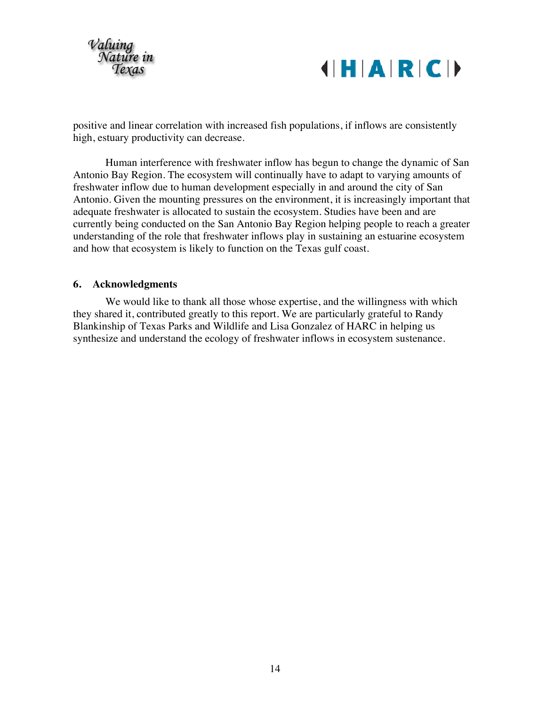

positive and linear correlation with increased fish populations, if inflows are consistently high, estuary productivity can decrease.

Human interference with freshwater inflow has begun to change the dynamic of San Antonio Bay Region. The ecosystem will continually have to adapt to varying amounts of freshwater inflow due to human development especially in and around the city of San Antonio. Given the mounting pressures on the environment, it is increasingly important that adequate freshwater is allocated to sustain the ecosystem. Studies have been and are currently being conducted on the San Antonio Bay Region helping people to reach a greater understanding of the role that freshwater inflows play in sustaining an estuarine ecosystem and how that ecosystem is likely to function on the Texas gulf coast.

#### **6. Acknowledgments**

We would like to thank all those whose expertise, and the willingness with which they shared it, contributed greatly to this report. We are particularly grateful to Randy Blankinship of Texas Parks and Wildlife and Lisa Gonzalez of HARC in helping us synthesize and understand the ecology of freshwater inflows in ecosystem sustenance.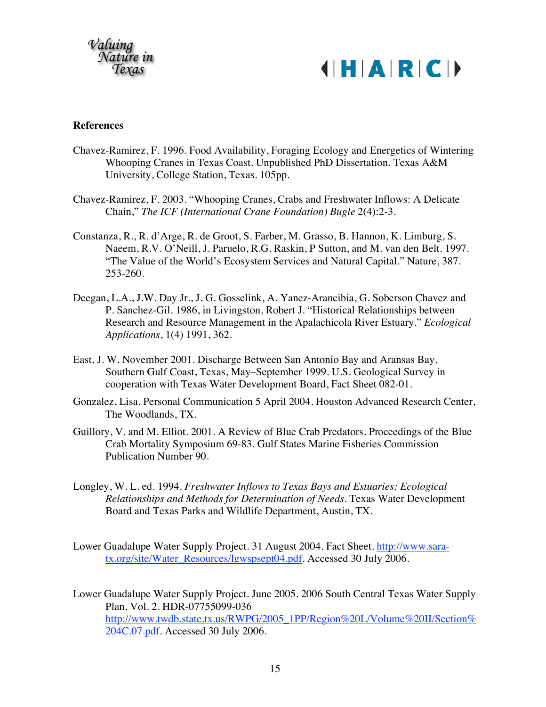

#### **References**

- Chavez-Ramirez, F. 1996. Food Availability, Foraging Ecology and Energetics of Wintering Whooping Cranes in Texas Coast. Unpublished PhD Dissertation. Texas A&M University, College Station, Texas. 105pp.
- Chavez-Ramirez, F. 2003. "Whooping Cranes, Crabs and Freshwater Inflows: A Delicate Chain," *The ICF (International Crane Foundation) Bugle* 2(4):2-3.
- Constanza, R., R. d'Arge, R. de Groot, S. Farber, M. Grasso, B. Hannon, K. Limburg, S. Naeem, R.V. O'Neill, J. Paruelo, R.G. Raskin, P Sutton, and M. van den Belt. 1997. "The Value of the World's Ecosystem Services and Natural Capital." Nature, 387. 253-260.
- Deegan, L.A., J.W. Day Jr., J. G. Gosselink, A. Yanez-Arancibia, G. Soberson Chavez and P. Sanchez-Gil. 1986, in Livingston, Robert J. "Historical Relationships between Research and Resource Management in the Apalachicola River Estuary." *Ecological Applications*, 1(4) 1991, 362.
- East, J. W. November 2001. Discharge Between San Antonio Bay and Aransas Bay, Southern Gulf Coast, Texas, May–September 1999. U.S. Geological Survey in cooperation with Texas Water Development Board, Fact Sheet 082-01.
- Gonzalez, Lisa. Personal Communication 5 April 2004. Houston Advanced Research Center, The Woodlands, TX.
- Guillory, V. and M. Elliot. 2001. A Review of Blue Crab Predators. Proceedings of the Blue Crab Mortality Symposium 69-83. Gulf States Marine Fisheries Commission Publication Number 90.
- Longley, W. L. ed. 1994. *Freshwater Inflows to Texas Bays and Estuaries: Ecological Relationships and Methods for Determination of Needs*. Texas Water Development Board and Texas Parks and Wildlife Department, Austin, TX.
- Lower Guadalupe Water Supply Project. 31 August 2004. Fact Sheet[. http://www.sara](http://www.sara-tx.org/site/Water_Resources/lgwspsept04.pdf)[tx.org/site/Water\\_Resources/lgwspsept04.pdf](http://www.sara-tx.org/site/Water_Resources/lgwspsept04.pdf). Accessed 30 July 2006.
- Lower Guadalupe Water Supply Project. June 2005. 2006 South Central Texas Water Supply Plan, Vol. 2. HDR-07755099-036 [http://www.twdb.state.tx.us/RWPG/2005\\_1PP/Region%20L/Volume%20II/Section%](http://www.twdb.state.tx.us/RWPG/2005_1PP/Region%20L/Volume%20II/Section%204C.07.pdf) [204C.07.pdf.](http://www.twdb.state.tx.us/RWPG/2005_1PP/Region%20L/Volume%20II/Section%204C.07.pdf) Accessed 30 July 2006.